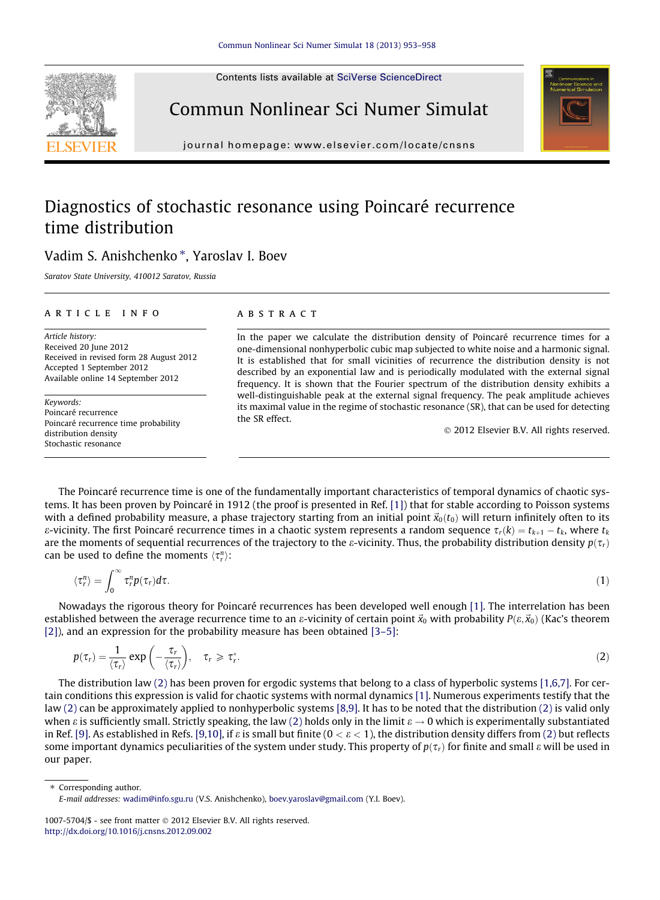Contents lists available at [SciVerse ScienceDirect](http://www.sciencedirect.com/science/journal/10075704)





Commun Nonlinear Sci Numer Simulat

journal homepage: [www.elsevier.com/locate/cnsns](http://www.elsevier.com/locate/cnsns)

## Diagnostics of stochastic resonance using Poincaré recurrence time distribution

### Vadim S. Anishchenko \*, Yaroslav I. Boev

Saratov State University, 410012 Saratov, Russia

#### article info

Article history: Received 20 June 2012 Received in revised form 28 August 2012 Accepted 1 September 2012 Available online 14 September 2012

Keywords: Poincaré recurrence Poincaré recurrence time probability distribution density Stochastic resonance

#### **ABSTRACT**

In the paper we calculate the distribution density of Poincaré recurrence times for a one-dimensional nonhyperbolic cubic map subjected to white noise and a harmonic signal. It is established that for small vicinities of recurrence the distribution density is not described by an exponential law and is periodically modulated with the external signal frequency. It is shown that the Fourier spectrum of the distribution density exhibits a well-distinguishable peak at the external signal frequency. The peak amplitude achieves its maximal value in the regime of stochastic resonance (SR), that can be used for detecting the SR effect.

- 2012 Elsevier B.V. All rights reserved.

The Poincaré recurrence time is one of the fundamentally important characteristics of temporal dynamics of chaotic systems. It has been proven by Poincaré in 1912 (the proof is presented in Ref. [\[1\]\)](#page--1-0) that for stable according to Poisson systems with a defined probability measure, a phase trajectory starting from an initial point  $\vec{x}_0(t_0)$  will return infinitely often to its  $\varepsilon$ -vicinity. The first Poincaré recurrence times in a chaotic system represents a random sequence  $\tau_r(k)=t_{k+1}-t_k$ , where  $t_k$ are the moments of sequential recurrences of the trajectory to the *ε*-vicinity. Thus, the probability distribution density  $p(\tau_r)$ can be used to define the moments  $\langle \tau_r^n \rangle$ :

$$
\langle \tau_r^n \rangle = \int_0^\infty \tau_r^n p(\tau_r) d\tau. \tag{1}
$$

Nowadays the rigorous theory for Poincaré recurrences has been developed well enough [\[1\].](#page--1-0) The interrelation has been established between the average recurrence time to an  $\varepsilon$ -vicinity of certain point  $\vec{x}_0$  with probability  $P(\varepsilon,\vec{x}_0)$  (Kac's theorem [\[2\]\)](#page--1-0), and an expression for the probability measure has been obtained [\[3–5\]](#page--1-0):

$$
p(\tau_r) = \frac{1}{\langle \tau_r \rangle} \exp\left(-\frac{\tau_r}{\langle \tau_r \rangle}\right), \quad \tau_r \geq \tau_r^*.
$$
 (2)

The distribution law (2) has been proven for ergodic systems that belong to a class of hyperbolic systems [\[1,6,7\].](#page--1-0) For certain conditions this expression is valid for chaotic systems with normal dynamics [\[1\].](#page--1-0) Numerous experiments testify that the law (2) can be approximately applied to nonhyperbolic systems [\[8,9\]](#page--1-0). It has to be noted that the distribution (2) is valid only when  $\varepsilon$  is sufficiently small. Strictly speaking, the law (2) holds only in the limit  $\varepsilon \to 0$  which is experimentally substantiated in Ref. [\[9\].](#page--1-0) As established in Refs. [\[9,10\]](#page--1-0), if  $\varepsilon$  is small but finite (0 <  $\varepsilon$  < 1), the distribution density differs from (2) but reflects some important dynamics peculiarities of the system under study. This property of  $p(\tau_r)$  for finite and small  $\varepsilon$  will be used in our paper.

⇑ Corresponding author. E-mail addresses: [wadim@info.sgu.ru](mailto:wadim@info.sgu.ru) (V.S. Anishchenko), [boev.yaroslav@gmail.com](mailto:boev.yaroslav@gmail.com) (Y.I. Boev).

1007-5704/\$ - see front matter © 2012 Elsevier B.V. All rights reserved. <http://dx.doi.org/10.1016/j.cnsns.2012.09.002>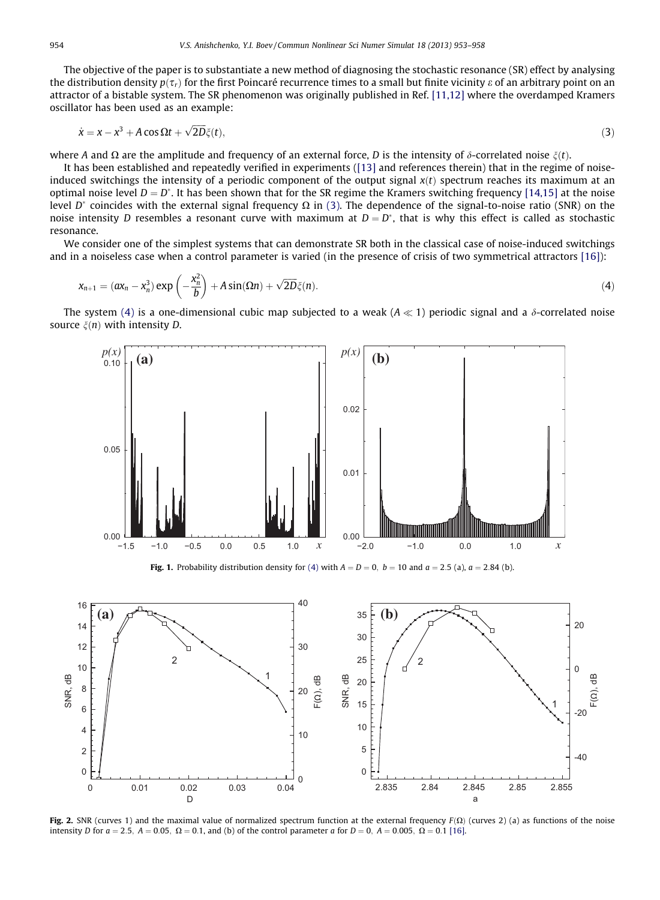The objective of the paper is to substantiate a new method of diagnosing the stochastic resonance (SR) effect by analysing the distribution density  $p(\tau_r)$  for the first Poincaré recurrence times to a small but finite vicinity  $\varepsilon$  of an arbitrary point on an attractor of a bistable system. The SR phenomenon was originally published in Ref. [\[11,12\]](#page--1-0) where the overdamped Kramers oscillator has been used as an example:

$$
\dot{x} = x - x^3 + A \cos \Omega t + \sqrt{2D}\xi(t),\tag{3}
$$

where A and  $\Omega$  are the amplitude and frequency of an external force, D is the intensity of  $\delta$ -correlated noise  $\zeta(t)$ .

It has been established and repeatedly verified in experiments ([\[13\]](#page--1-0) and references therein) that in the regime of noiseinduced switchings the intensity of a periodic component of the output signal  $x(t)$  spectrum reaches its maximum at an optimal noise level  $D = D^*$ . It has been shown that for the SR regime the Kramers switching frequency [\[14,15\]](#page--1-0) at the noise level D<sup>\*</sup> coincides with the external signal frequency  $\Omega$  in (3). The dependence of the signal-to-noise ratio (SNR) on the noise intensity D resembles a resonant curve with maximum at  $D = D^*$ , that is why this effect is called as stochastic resonance.

We consider one of the simplest systems that can demonstrate SR both in the classical case of noise-induced switchings and in a noiseless case when a control parameter is varied (in the presence of crisis of two symmetrical attractors [\[16\]\)](#page--1-0):

$$
x_{n+1} = (ax_n - x_n^3) \exp\left(-\frac{x_n^2}{b}\right) + A \sin(\Omega n) + \sqrt{2D}\xi(n). \tag{4}
$$

The system (4) is a one-dimensional cubic map subjected to a weak ( $A \ll 1$ ) periodic signal and a  $\delta$ -correlated noise source  $\xi(n)$  with intensity D.



Fig. 1. Probability distribution density for (4) with  $A = D = 0$ ,  $b = 10$  and  $a = 2.5$  (a),  $a = 2.84$  (b).



Fig. 2. SNR (curves 1) and the maximal value of normalized spectrum function at the external frequency  $F(\Omega)$  (curves 2) (a) as functions of the noise intensity D for  $a = 2.5$ ,  $A = 0.05$ ,  $\Omega = 0.1$ , and (b) of the control parameter a for  $D = 0$ ,  $A = 0.005$ ,  $\Omega = 0.1$  [\[16\]](#page--1-0).